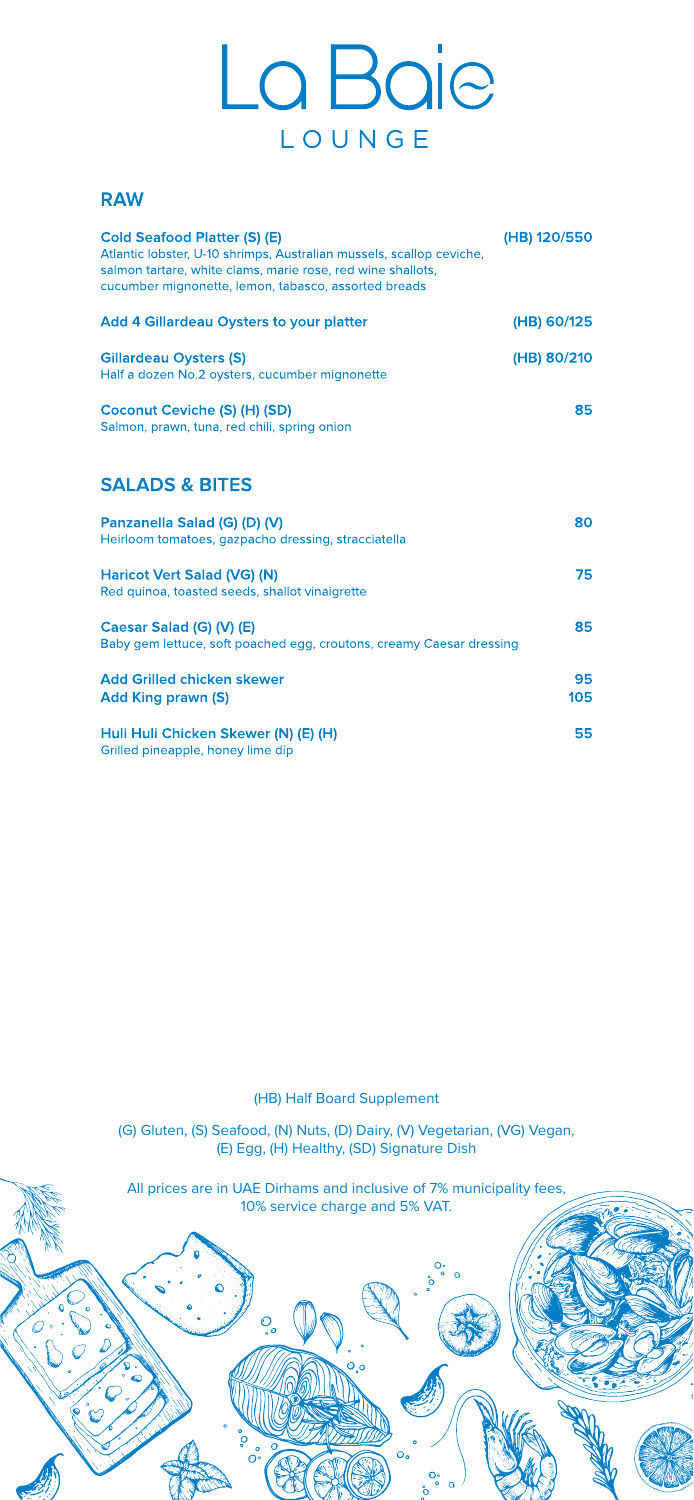·:-:...-

□

 $\mathbb{Z}^3$ 

# La Baje LOUNGE

#### **RAW**

| <b>Cold Seafood Platter (S) (E)</b><br>Atlantic lobster, U-10 shrimps, Australian mussels, scallop ceviche,<br>salmon tartare, white clams, marie rose, red wine shallots,<br>cucumber mignonette, lemon, tabasco, assorted breads | (HB) 120/550 |
|------------------------------------------------------------------------------------------------------------------------------------------------------------------------------------------------------------------------------------|--------------|
| <b>Add 4 Gillardeau Oysters to your platter</b>                                                                                                                                                                                    | (HB) 60/125  |
| <b>Gillardeau Oysters (S)</b><br>Half a dozen No.2 oysters, cucumber mignonette                                                                                                                                                    | (HB) 80/210  |
| Coconut Ceviche (S) (H) (SD)<br>Salmon, prawn, tuna, red chili, spring onion                                                                                                                                                       | 85           |
| <b>SALADS &amp; BITES</b>                                                                                                                                                                                                          |              |
| Panzanella Salad (G) (D) (V)<br>Heirloom tomatoes, gazpacho dressing, stracciatella                                                                                                                                                | 80           |
| Haricot Vert Salad (VG) (N)<br>Red quinoa, toasted seeds, shallot vinaigrette                                                                                                                                                      | 75           |
| Caesar Salad (G) (V) (E)<br>Baby gem lettuce, soft poached egg, croutons, creamy Caesar dressing                                                                                                                                   | 85           |
| <b>Add Grilled chicken skewer</b><br><b>Add King prawn (S)</b>                                                                                                                                                                     | 95<br>105    |
| Huli Huli Chicken Skewer (N) (E) (H)                                                                                                                                                                                               | 55           |

**0** • '  $\bf{O}$ 

> **0 0**   $\circ$

 $\bullet$ 

 $O$ <sub>o</sub>o

 $\circ$ 

Grilled pineapple, honey lime dip

**0** 

**Oo <sup>0</sup>**° **<sup>0</sup>**<sup>0</sup> **0** 

້

~

 $\mathcal{O}$  of  $\mathcal{O}$ 

**Oo <sup>0</sup>**° **<sup>0</sup>**<sup>0</sup>

 $O<sub>o</sub>$ 

(HB) Half Board Supplement

(G) Gluten, (S) Seafood, (N) Nuts, (D) Dairy, (V) Vegetarian, (VG) Vegan, (E) Egg, (H) Healthy, (SD) Signature Dish

All prices are in UAE Dirhams and inclusive of 7% municipality fees, 10% service charge and 5% VAT.

 $O_{o}$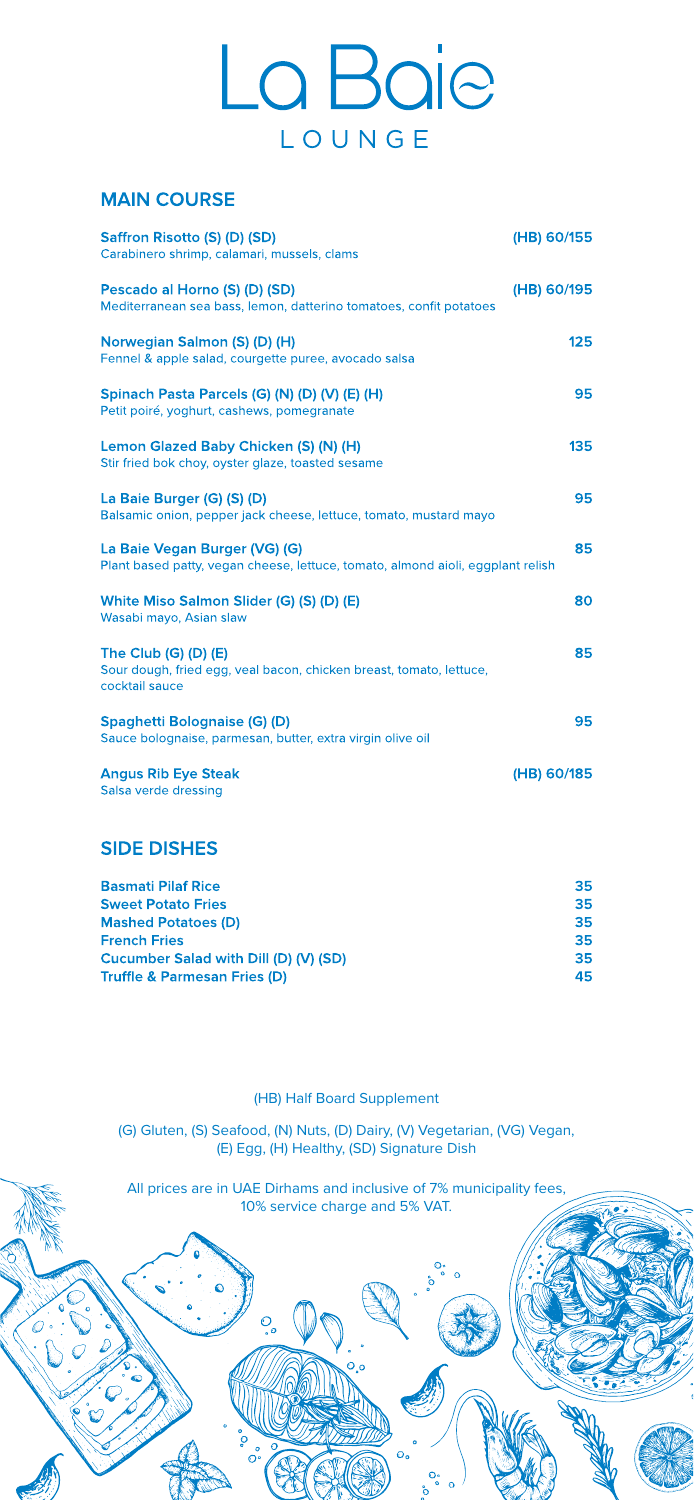·:-:...-

 $\mathbb{Z}^3$ 

### La Baje LOUNGE

#### **MAIN COURSE**

| Saffron Risotto (S) (D) (SD)<br>Carabinero shrimp, calamari, mussels, clams                                         | (HB) 60/155 |
|---------------------------------------------------------------------------------------------------------------------|-------------|
| Pescado al Horno (S) (D) (SD)<br>Mediterranean sea bass, lemon, datterino tomatoes, confit potatoes                 | (HB) 60/195 |
| Norwegian Salmon (S) (D) (H)<br>Fennel & apple salad, courgette puree, avocado salsa                                | 125         |
| Spinach Pasta Parcels (G) (N) (D) (V) (E) (H)<br>Petit poiré, yoghurt, cashews, pomegranate                         | 95          |
| Lemon Glazed Baby Chicken (S) (N) (H)<br>Stir fried bok choy, oyster glaze, toasted sesame                          | 135         |
| La Baie Burger (G) (S) (D)<br>Balsamic onion, pepper jack cheese, lettuce, tomato, mustard mayo                     | 95          |
| La Baie Vegan Burger (VG) (G)<br>Plant based patty, vegan cheese, lettuce, tomato, almond aioli, eggplant relish    | 85          |
| White Miso Salmon Slider (G) (S) (D) (E)<br>Wasabi mayo, Asian slaw                                                 | 80          |
| The Club $(G)$ $(D)$ $(E)$<br>Sour dough, fried egg, veal bacon, chicken breast, tomato, lettuce,<br>cocktail sauce | 85          |
| <b>Spaghetti Bolognaise (G) (D)</b>                                                                                 | 95          |

0 **0**   $\overline{\mathbb{O}}^{\circ}$ 

> Oo  $^{\circ}$   $^{\circ}$   $^{\circ}$

 $O<sub>o</sub>$ 

 $\bullet$  (iii) and  $\bullet$  (iii)  $\bullet$ 

 $O$ <br> $\bullet$ 

 $\circ$ 

Sauce bolognaise, parmesan, butter, extra virgin olive oil

#### **SIDE DISHES**

| <b>Basmati Pilaf Rice</b>                    | 35 |
|----------------------------------------------|----|
| <b>Sweet Potato Fries</b>                    | 35 |
| <b>Mashed Potatoes (D)</b>                   | 35 |
| <b>French Fries</b>                          | 35 |
| <b>Cucumber Salad with Dill (D) (V) (SD)</b> | 35 |
| <b>Truffle &amp; Parmesan Fries (D)</b>      | 45 |

**0** • '

~

 $\mathcal{O}$  of  $\mathcal{O}$ 

(HB) Half Board Supplement

(G) Gluten, (S) Seafood, (N) Nuts, (D) Dairy, (V) Vegetarian, (VG) Vegan, (E) Egg, (H) Healthy, (SD) Signature Dish

All prices are in UAE Dirhams and inclusive of 7% municipality fees, 10% service charge and 5% VAT.

 $O_{o}$ 

်<br>စိ<sup>စ</sup>်  $\circ$